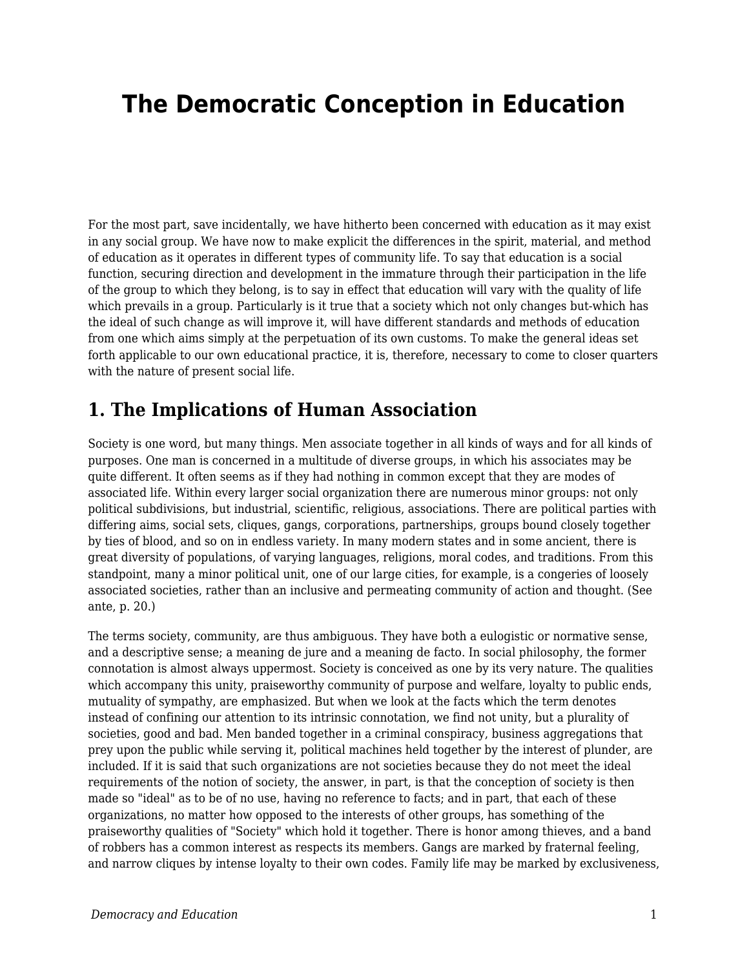# **The Democratic Conception in Education**

For the most part, save incidentally, we have hitherto been concerned with education as it may exist in any social group. We have now to make explicit the differences in the spirit, material, and method of education as it operates in different types of community life. To say that education is a social function, securing direction and development in the immature through their participation in the life of the group to which they belong, is to say in effect that education will vary with the quality of life which prevails in a group. Particularly is it true that a society which not only changes but-which has the ideal of such change as will improve it, will have different standards and methods of education from one which aims simply at the perpetuation of its own customs. To make the general ideas set forth applicable to our own educational practice, it is, therefore, necessary to come to closer quarters with the nature of present social life.

## **1. The Implications of Human Association**

Society is one word, but many things. Men associate together in all kinds of ways and for all kinds of purposes. One man is concerned in a multitude of diverse groups, in which his associates may be quite different. It often seems as if they had nothing in common except that they are modes of associated life. Within every larger social organization there are numerous minor groups: not only political subdivisions, but industrial, scientific, religious, associations. There are political parties with differing aims, social sets, cliques, gangs, corporations, partnerships, groups bound closely together by ties of blood, and so on in endless variety. In many modern states and in some ancient, there is great diversity of populations, of varying languages, religions, moral codes, and traditions. From this standpoint, many a minor political unit, one of our large cities, for example, is a congeries of loosely associated societies, rather than an inclusive and permeating community of action and thought. (See ante, p. 20.)

The terms society, community, are thus ambiguous. They have both a eulogistic or normative sense, and a descriptive sense; a meaning de jure and a meaning de facto. In social philosophy, the former connotation is almost always uppermost. Society is conceived as one by its very nature. The qualities which accompany this unity, praiseworthy community of purpose and welfare, loyalty to public ends, mutuality of sympathy, are emphasized. But when we look at the facts which the term denotes instead of confining our attention to its intrinsic connotation, we find not unity, but a plurality of societies, good and bad. Men banded together in a criminal conspiracy, business aggregations that prey upon the public while serving it, political machines held together by the interest of plunder, are included. If it is said that such organizations are not societies because they do not meet the ideal requirements of the notion of society, the answer, in part, is that the conception of society is then made so "ideal" as to be of no use, having no reference to facts; and in part, that each of these organizations, no matter how opposed to the interests of other groups, has something of the praiseworthy qualities of "Society" which hold it together. There is honor among thieves, and a band of robbers has a common interest as respects its members. Gangs are marked by fraternal feeling, and narrow cliques by intense loyalty to their own codes. Family life may be marked by exclusiveness,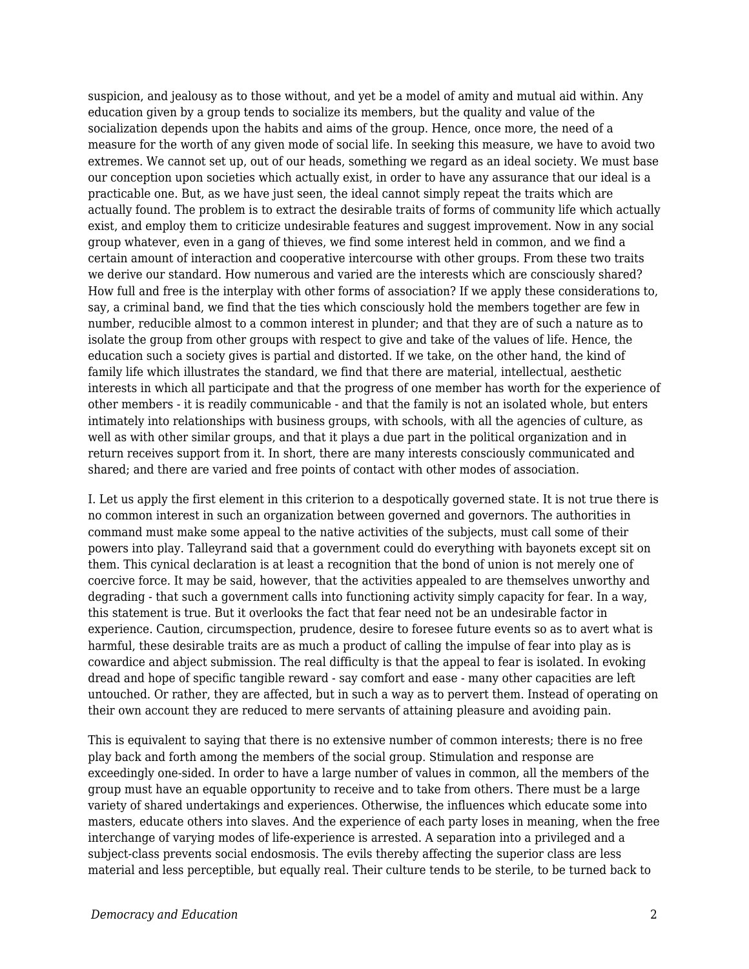suspicion, and jealousy as to those without, and yet be a model of amity and mutual aid within. Any education given by a group tends to socialize its members, but the quality and value of the socialization depends upon the habits and aims of the group. Hence, once more, the need of a measure for the worth of any given mode of social life. In seeking this measure, we have to avoid two extremes. We cannot set up, out of our heads, something we regard as an ideal society. We must base our conception upon societies which actually exist, in order to have any assurance that our ideal is a practicable one. But, as we have just seen, the ideal cannot simply repeat the traits which are actually found. The problem is to extract the desirable traits of forms of community life which actually exist, and employ them to criticize undesirable features and suggest improvement. Now in any social group whatever, even in a gang of thieves, we find some interest held in common, and we find a certain amount of interaction and cooperative intercourse with other groups. From these two traits we derive our standard. How numerous and varied are the interests which are consciously shared? How full and free is the interplay with other forms of association? If we apply these considerations to, say, a criminal band, we find that the ties which consciously hold the members together are few in number, reducible almost to a common interest in plunder; and that they are of such a nature as to isolate the group from other groups with respect to give and take of the values of life. Hence, the education such a society gives is partial and distorted. If we take, on the other hand, the kind of family life which illustrates the standard, we find that there are material, intellectual, aesthetic interests in which all participate and that the progress of one member has worth for the experience of other members - it is readily communicable - and that the family is not an isolated whole, but enters intimately into relationships with business groups, with schools, with all the agencies of culture, as well as with other similar groups, and that it plays a due part in the political organization and in return receives support from it. In short, there are many interests consciously communicated and shared; and there are varied and free points of contact with other modes of association.

I. Let us apply the first element in this criterion to a despotically governed state. It is not true there is no common interest in such an organization between governed and governors. The authorities in command must make some appeal to the native activities of the subjects, must call some of their powers into play. Talleyrand said that a government could do everything with bayonets except sit on them. This cynical declaration is at least a recognition that the bond of union is not merely one of coercive force. It may be said, however, that the activities appealed to are themselves unworthy and degrading - that such a government calls into functioning activity simply capacity for fear. In a way, this statement is true. But it overlooks the fact that fear need not be an undesirable factor in experience. Caution, circumspection, prudence, desire to foresee future events so as to avert what is harmful, these desirable traits are as much a product of calling the impulse of fear into play as is cowardice and abject submission. The real difficulty is that the appeal to fear is isolated. In evoking dread and hope of specific tangible reward - say comfort and ease - many other capacities are left untouched. Or rather, they are affected, but in such a way as to pervert them. Instead of operating on their own account they are reduced to mere servants of attaining pleasure and avoiding pain.

This is equivalent to saying that there is no extensive number of common interests; there is no free play back and forth among the members of the social group. Stimulation and response are exceedingly one-sided. In order to have a large number of values in common, all the members of the group must have an equable opportunity to receive and to take from others. There must be a large variety of shared undertakings and experiences. Otherwise, the influences which educate some into masters, educate others into slaves. And the experience of each party loses in meaning, when the free interchange of varying modes of life-experience is arrested. A separation into a privileged and a subject-class prevents social endosmosis. The evils thereby affecting the superior class are less material and less perceptible, but equally real. Their culture tends to be sterile, to be turned back to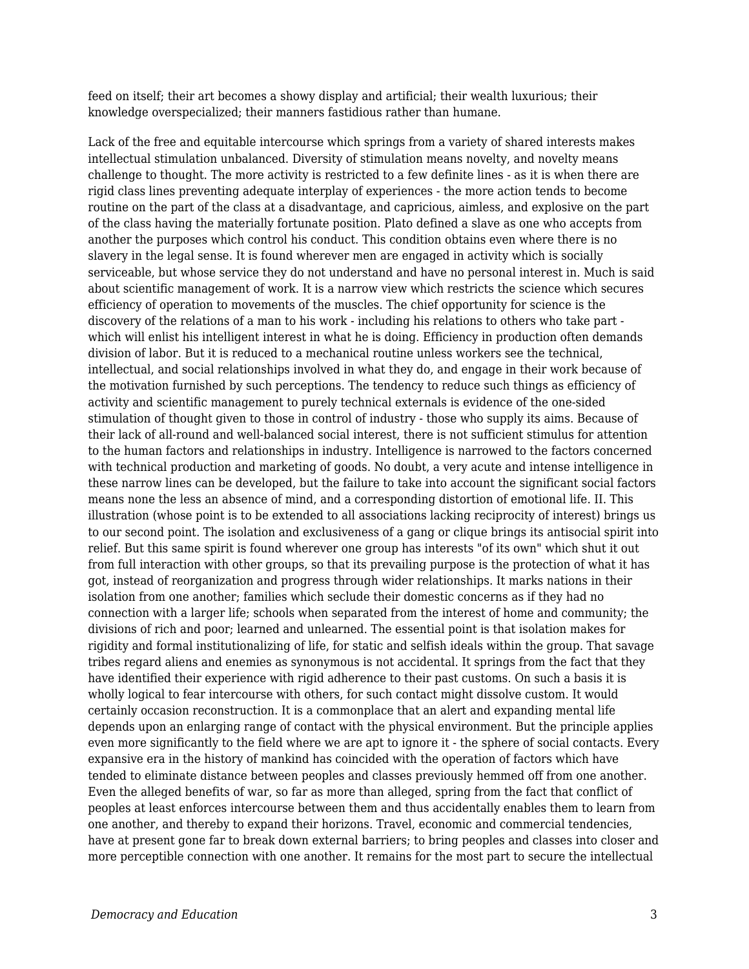feed on itself; their art becomes a showy display and artificial; their wealth luxurious; their knowledge overspecialized; their manners fastidious rather than humane.

Lack of the free and equitable intercourse which springs from a variety of shared interests makes intellectual stimulation unbalanced. Diversity of stimulation means novelty, and novelty means challenge to thought. The more activity is restricted to a few definite lines - as it is when there are rigid class lines preventing adequate interplay of experiences - the more action tends to become routine on the part of the class at a disadvantage, and capricious, aimless, and explosive on the part of the class having the materially fortunate position. Plato defined a slave as one who accepts from another the purposes which control his conduct. This condition obtains even where there is no slavery in the legal sense. It is found wherever men are engaged in activity which is socially serviceable, but whose service they do not understand and have no personal interest in. Much is said about scientific management of work. It is a narrow view which restricts the science which secures efficiency of operation to movements of the muscles. The chief opportunity for science is the discovery of the relations of a man to his work - including his relations to others who take part which will enlist his intelligent interest in what he is doing. Efficiency in production often demands division of labor. But it is reduced to a mechanical routine unless workers see the technical, intellectual, and social relationships involved in what they do, and engage in their work because of the motivation furnished by such perceptions. The tendency to reduce such things as efficiency of activity and scientific management to purely technical externals is evidence of the one-sided stimulation of thought given to those in control of industry - those who supply its aims. Because of their lack of all-round and well-balanced social interest, there is not sufficient stimulus for attention to the human factors and relationships in industry. Intelligence is narrowed to the factors concerned with technical production and marketing of goods. No doubt, a very acute and intense intelligence in these narrow lines can be developed, but the failure to take into account the significant social factors means none the less an absence of mind, and a corresponding distortion of emotional life. II. This illustration (whose point is to be extended to all associations lacking reciprocity of interest) brings us to our second point. The isolation and exclusiveness of a gang or clique brings its antisocial spirit into relief. But this same spirit is found wherever one group has interests "of its own" which shut it out from full interaction with other groups, so that its prevailing purpose is the protection of what it has got, instead of reorganization and progress through wider relationships. It marks nations in their isolation from one another; families which seclude their domestic concerns as if they had no connection with a larger life; schools when separated from the interest of home and community; the divisions of rich and poor; learned and unlearned. The essential point is that isolation makes for rigidity and formal institutionalizing of life, for static and selfish ideals within the group. That savage tribes regard aliens and enemies as synonymous is not accidental. It springs from the fact that they have identified their experience with rigid adherence to their past customs. On such a basis it is wholly logical to fear intercourse with others, for such contact might dissolve custom. It would certainly occasion reconstruction. It is a commonplace that an alert and expanding mental life depends upon an enlarging range of contact with the physical environment. But the principle applies even more significantly to the field where we are apt to ignore it - the sphere of social contacts. Every expansive era in the history of mankind has coincided with the operation of factors which have tended to eliminate distance between peoples and classes previously hemmed off from one another. Even the alleged benefits of war, so far as more than alleged, spring from the fact that conflict of peoples at least enforces intercourse between them and thus accidentally enables them to learn from one another, and thereby to expand their horizons. Travel, economic and commercial tendencies, have at present gone far to break down external barriers; to bring peoples and classes into closer and more perceptible connection with one another. It remains for the most part to secure the intellectual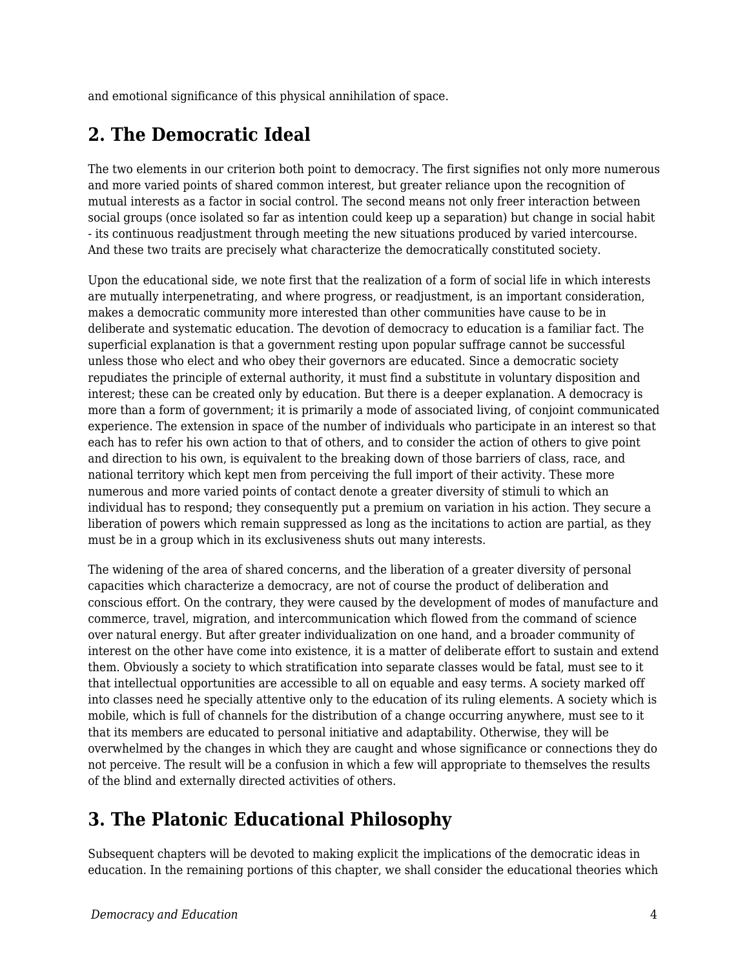and emotional significance of this physical annihilation of space.

## **2. The Democratic Ideal**

The two elements in our criterion both point to democracy. The first signifies not only more numerous and more varied points of shared common interest, but greater reliance upon the recognition of mutual interests as a factor in social control. The second means not only freer interaction between social groups (once isolated so far as intention could keep up a separation) but change in social habit - its continuous readjustment through meeting the new situations produced by varied intercourse. And these two traits are precisely what characterize the democratically constituted society.

Upon the educational side, we note first that the realization of a form of social life in which interests are mutually interpenetrating, and where progress, or readjustment, is an important consideration, makes a democratic community more interested than other communities have cause to be in deliberate and systematic education. The devotion of democracy to education is a familiar fact. The superficial explanation is that a government resting upon popular suffrage cannot be successful unless those who elect and who obey their governors are educated. Since a democratic society repudiates the principle of external authority, it must find a substitute in voluntary disposition and interest; these can be created only by education. But there is a deeper explanation. A democracy is more than a form of government; it is primarily a mode of associated living, of conjoint communicated experience. The extension in space of the number of individuals who participate in an interest so that each has to refer his own action to that of others, and to consider the action of others to give point and direction to his own, is equivalent to the breaking down of those barriers of class, race, and national territory which kept men from perceiving the full import of their activity. These more numerous and more varied points of contact denote a greater diversity of stimuli to which an individual has to respond; they consequently put a premium on variation in his action. They secure a liberation of powers which remain suppressed as long as the incitations to action are partial, as they must be in a group which in its exclusiveness shuts out many interests.

The widening of the area of shared concerns, and the liberation of a greater diversity of personal capacities which characterize a democracy, are not of course the product of deliberation and conscious effort. On the contrary, they were caused by the development of modes of manufacture and commerce, travel, migration, and intercommunication which flowed from the command of science over natural energy. But after greater individualization on one hand, and a broader community of interest on the other have come into existence, it is a matter of deliberate effort to sustain and extend them. Obviously a society to which stratification into separate classes would be fatal, must see to it that intellectual opportunities are accessible to all on equable and easy terms. A society marked off into classes need he specially attentive only to the education of its ruling elements. A society which is mobile, which is full of channels for the distribution of a change occurring anywhere, must see to it that its members are educated to personal initiative and adaptability. Otherwise, they will be overwhelmed by the changes in which they are caught and whose significance or connections they do not perceive. The result will be a confusion in which a few will appropriate to themselves the results of the blind and externally directed activities of others.

# **3. The Platonic Educational Philosophy**

Subsequent chapters will be devoted to making explicit the implications of the democratic ideas in education. In the remaining portions of this chapter, we shall consider the educational theories which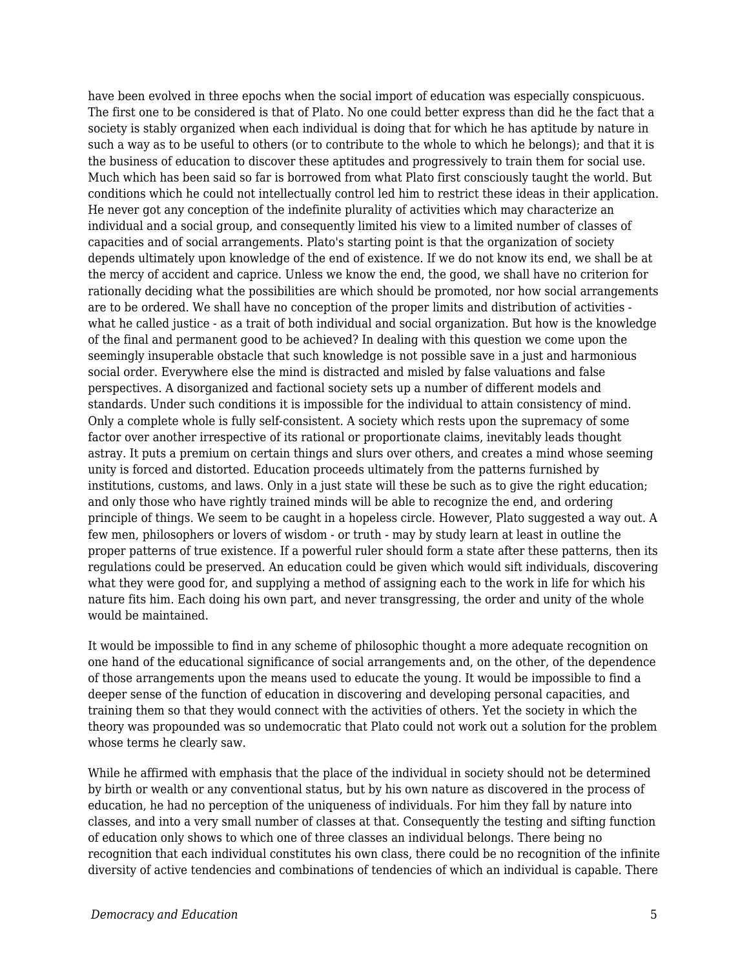have been evolved in three epochs when the social import of education was especially conspicuous. The first one to be considered is that of Plato. No one could better express than did he the fact that a society is stably organized when each individual is doing that for which he has aptitude by nature in such a way as to be useful to others (or to contribute to the whole to which he belongs); and that it is the business of education to discover these aptitudes and progressively to train them for social use. Much which has been said so far is borrowed from what Plato first consciously taught the world. But conditions which he could not intellectually control led him to restrict these ideas in their application. He never got any conception of the indefinite plurality of activities which may characterize an individual and a social group, and consequently limited his view to a limited number of classes of capacities and of social arrangements. Plato's starting point is that the organization of society depends ultimately upon knowledge of the end of existence. If we do not know its end, we shall be at the mercy of accident and caprice. Unless we know the end, the good, we shall have no criterion for rationally deciding what the possibilities are which should be promoted, nor how social arrangements are to be ordered. We shall have no conception of the proper limits and distribution of activities what he called justice - as a trait of both individual and social organization. But how is the knowledge of the final and permanent good to be achieved? In dealing with this question we come upon the seemingly insuperable obstacle that such knowledge is not possible save in a just and harmonious social order. Everywhere else the mind is distracted and misled by false valuations and false perspectives. A disorganized and factional society sets up a number of different models and standards. Under such conditions it is impossible for the individual to attain consistency of mind. Only a complete whole is fully self-consistent. A society which rests upon the supremacy of some factor over another irrespective of its rational or proportionate claims, inevitably leads thought astray. It puts a premium on certain things and slurs over others, and creates a mind whose seeming unity is forced and distorted. Education proceeds ultimately from the patterns furnished by institutions, customs, and laws. Only in a just state will these be such as to give the right education; and only those who have rightly trained minds will be able to recognize the end, and ordering principle of things. We seem to be caught in a hopeless circle. However, Plato suggested a way out. A few men, philosophers or lovers of wisdom - or truth - may by study learn at least in outline the proper patterns of true existence. If a powerful ruler should form a state after these patterns, then its regulations could be preserved. An education could be given which would sift individuals, discovering what they were good for, and supplying a method of assigning each to the work in life for which his nature fits him. Each doing his own part, and never transgressing, the order and unity of the whole would be maintained.

It would be impossible to find in any scheme of philosophic thought a more adequate recognition on one hand of the educational significance of social arrangements and, on the other, of the dependence of those arrangements upon the means used to educate the young. It would be impossible to find a deeper sense of the function of education in discovering and developing personal capacities, and training them so that they would connect with the activities of others. Yet the society in which the theory was propounded was so undemocratic that Plato could not work out a solution for the problem whose terms he clearly saw.

While he affirmed with emphasis that the place of the individual in society should not be determined by birth or wealth or any conventional status, but by his own nature as discovered in the process of education, he had no perception of the uniqueness of individuals. For him they fall by nature into classes, and into a very small number of classes at that. Consequently the testing and sifting function of education only shows to which one of three classes an individual belongs. There being no recognition that each individual constitutes his own class, there could be no recognition of the infinite diversity of active tendencies and combinations of tendencies of which an individual is capable. There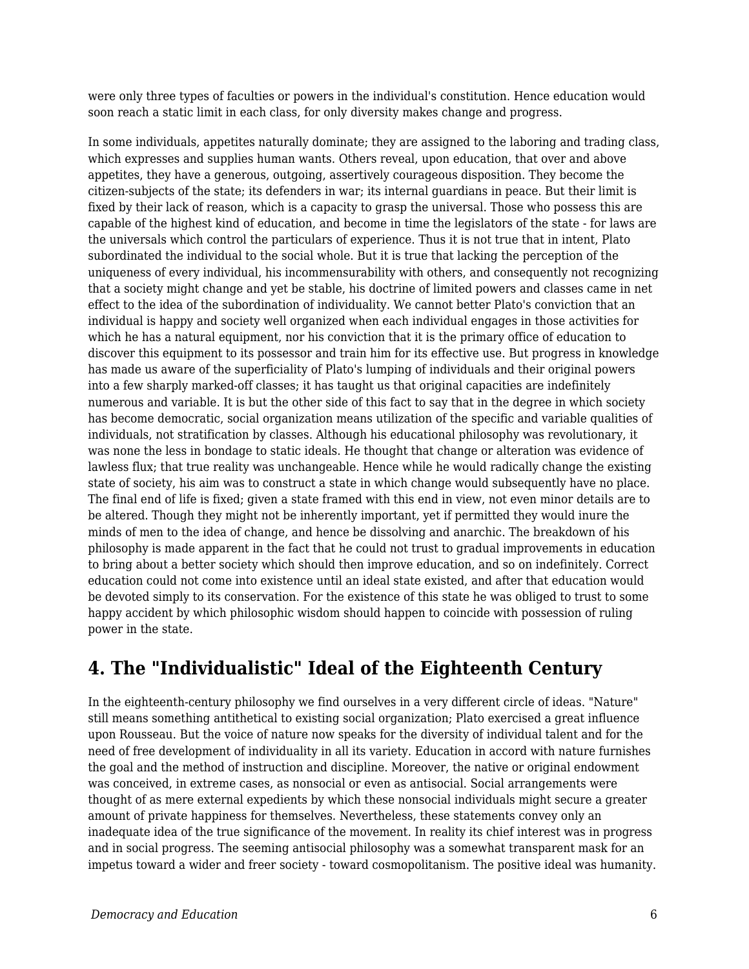were only three types of faculties or powers in the individual's constitution. Hence education would soon reach a static limit in each class, for only diversity makes change and progress.

In some individuals, appetites naturally dominate; they are assigned to the laboring and trading class, which expresses and supplies human wants. Others reveal, upon education, that over and above appetites, they have a generous, outgoing, assertively courageous disposition. They become the citizen-subjects of the state; its defenders in war; its internal guardians in peace. But their limit is fixed by their lack of reason, which is a capacity to grasp the universal. Those who possess this are capable of the highest kind of education, and become in time the legislators of the state - for laws are the universals which control the particulars of experience. Thus it is not true that in intent, Plato subordinated the individual to the social whole. But it is true that lacking the perception of the uniqueness of every individual, his incommensurability with others, and consequently not recognizing that a society might change and yet be stable, his doctrine of limited powers and classes came in net effect to the idea of the subordination of individuality. We cannot better Plato's conviction that an individual is happy and society well organized when each individual engages in those activities for which he has a natural equipment, nor his conviction that it is the primary office of education to discover this equipment to its possessor and train him for its effective use. But progress in knowledge has made us aware of the superficiality of Plato's lumping of individuals and their original powers into a few sharply marked-off classes; it has taught us that original capacities are indefinitely numerous and variable. It is but the other side of this fact to say that in the degree in which society has become democratic, social organization means utilization of the specific and variable qualities of individuals, not stratification by classes. Although his educational philosophy was revolutionary, it was none the less in bondage to static ideals. He thought that change or alteration was evidence of lawless flux; that true reality was unchangeable. Hence while he would radically change the existing state of society, his aim was to construct a state in which change would subsequently have no place. The final end of life is fixed; given a state framed with this end in view, not even minor details are to be altered. Though they might not be inherently important, yet if permitted they would inure the minds of men to the idea of change, and hence be dissolving and anarchic. The breakdown of his philosophy is made apparent in the fact that he could not trust to gradual improvements in education to bring about a better society which should then improve education, and so on indefinitely. Correct education could not come into existence until an ideal state existed, and after that education would be devoted simply to its conservation. For the existence of this state he was obliged to trust to some happy accident by which philosophic wisdom should happen to coincide with possession of ruling power in the state.

# **4. The "Individualistic" Ideal of the Eighteenth Century**

In the eighteenth-century philosophy we find ourselves in a very different circle of ideas. "Nature" still means something antithetical to existing social organization; Plato exercised a great influence upon Rousseau. But the voice of nature now speaks for the diversity of individual talent and for the need of free development of individuality in all its variety. Education in accord with nature furnishes the goal and the method of instruction and discipline. Moreover, the native or original endowment was conceived, in extreme cases, as nonsocial or even as antisocial. Social arrangements were thought of as mere external expedients by which these nonsocial individuals might secure a greater amount of private happiness for themselves. Nevertheless, these statements convey only an inadequate idea of the true significance of the movement. In reality its chief interest was in progress and in social progress. The seeming antisocial philosophy was a somewhat transparent mask for an impetus toward a wider and freer society - toward cosmopolitanism. The positive ideal was humanity.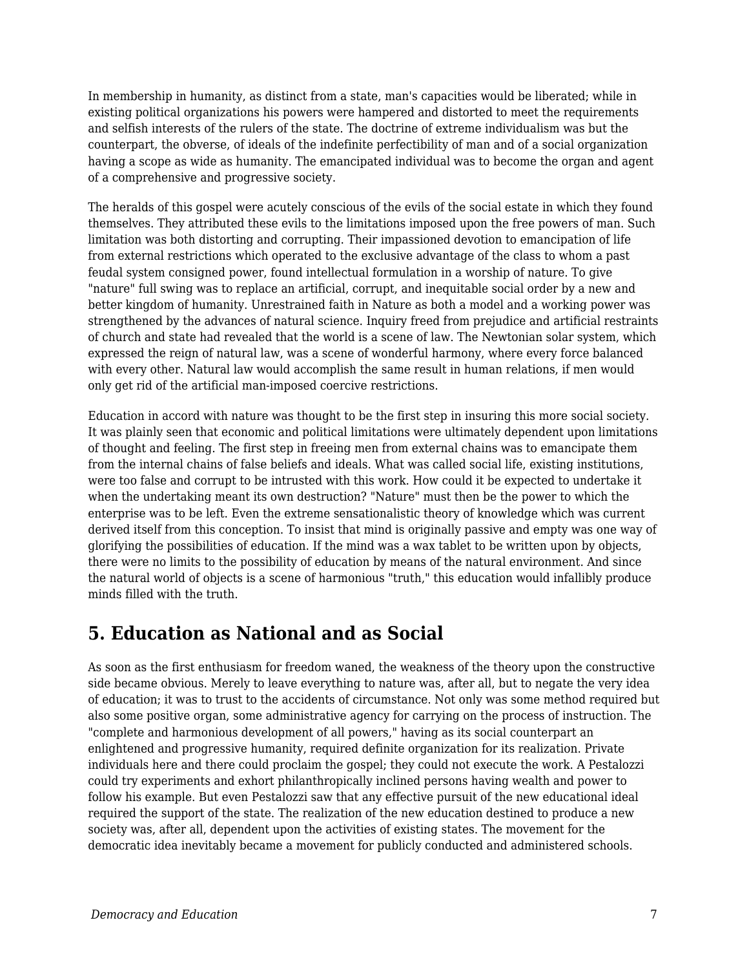In membership in humanity, as distinct from a state, man's capacities would be liberated; while in existing political organizations his powers were hampered and distorted to meet the requirements and selfish interests of the rulers of the state. The doctrine of extreme individualism was but the counterpart, the obverse, of ideals of the indefinite perfectibility of man and of a social organization having a scope as wide as humanity. The emancipated individual was to become the organ and agent of a comprehensive and progressive society.

The heralds of this gospel were acutely conscious of the evils of the social estate in which they found themselves. They attributed these evils to the limitations imposed upon the free powers of man. Such limitation was both distorting and corrupting. Their impassioned devotion to emancipation of life from external restrictions which operated to the exclusive advantage of the class to whom a past feudal system consigned power, found intellectual formulation in a worship of nature. To give "nature" full swing was to replace an artificial, corrupt, and inequitable social order by a new and better kingdom of humanity. Unrestrained faith in Nature as both a model and a working power was strengthened by the advances of natural science. Inquiry freed from prejudice and artificial restraints of church and state had revealed that the world is a scene of law. The Newtonian solar system, which expressed the reign of natural law, was a scene of wonderful harmony, where every force balanced with every other. Natural law would accomplish the same result in human relations, if men would only get rid of the artificial man-imposed coercive restrictions.

Education in accord with nature was thought to be the first step in insuring this more social society. It was plainly seen that economic and political limitations were ultimately dependent upon limitations of thought and feeling. The first step in freeing men from external chains was to emancipate them from the internal chains of false beliefs and ideals. What was called social life, existing institutions, were too false and corrupt to be intrusted with this work. How could it be expected to undertake it when the undertaking meant its own destruction? "Nature" must then be the power to which the enterprise was to be left. Even the extreme sensationalistic theory of knowledge which was current derived itself from this conception. To insist that mind is originally passive and empty was one way of glorifying the possibilities of education. If the mind was a wax tablet to be written upon by objects, there were no limits to the possibility of education by means of the natural environment. And since the natural world of objects is a scene of harmonious "truth," this education would infallibly produce minds filled with the truth.

### **5. Education as National and as Social**

As soon as the first enthusiasm for freedom waned, the weakness of the theory upon the constructive side became obvious. Merely to leave everything to nature was, after all, but to negate the very idea of education; it was to trust to the accidents of circumstance. Not only was some method required but also some positive organ, some administrative agency for carrying on the process of instruction. The "complete and harmonious development of all powers," having as its social counterpart an enlightened and progressive humanity, required definite organization for its realization. Private individuals here and there could proclaim the gospel; they could not execute the work. A Pestalozzi could try experiments and exhort philanthropically inclined persons having wealth and power to follow his example. But even Pestalozzi saw that any effective pursuit of the new educational ideal required the support of the state. The realization of the new education destined to produce a new society was, after all, dependent upon the activities of existing states. The movement for the democratic idea inevitably became a movement for publicly conducted and administered schools.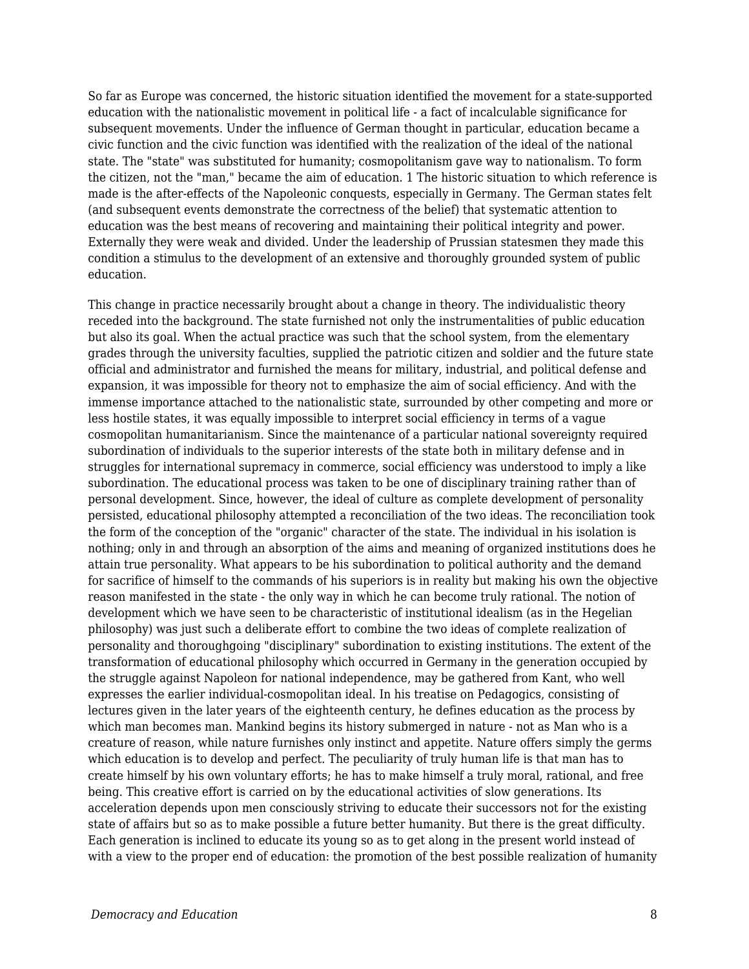So far as Europe was concerned, the historic situation identified the movement for a state-supported education with the nationalistic movement in political life - a fact of incalculable significance for subsequent movements. Under the influence of German thought in particular, education became a civic function and the civic function was identified with the realization of the ideal of the national state. The "state" was substituted for humanity; cosmopolitanism gave way to nationalism. To form the citizen, not the "man," became the aim of education. 1 The historic situation to which reference is made is the after-effects of the Napoleonic conquests, especially in Germany. The German states felt (and subsequent events demonstrate the correctness of the belief) that systematic attention to education was the best means of recovering and maintaining their political integrity and power. Externally they were weak and divided. Under the leadership of Prussian statesmen they made this condition a stimulus to the development of an extensive and thoroughly grounded system of public education.

This change in practice necessarily brought about a change in theory. The individualistic theory receded into the background. The state furnished not only the instrumentalities of public education but also its goal. When the actual practice was such that the school system, from the elementary grades through the university faculties, supplied the patriotic citizen and soldier and the future state official and administrator and furnished the means for military, industrial, and political defense and expansion, it was impossible for theory not to emphasize the aim of social efficiency. And with the immense importance attached to the nationalistic state, surrounded by other competing and more or less hostile states, it was equally impossible to interpret social efficiency in terms of a vague cosmopolitan humanitarianism. Since the maintenance of a particular national sovereignty required subordination of individuals to the superior interests of the state both in military defense and in struggles for international supremacy in commerce, social efficiency was understood to imply a like subordination. The educational process was taken to be one of disciplinary training rather than of personal development. Since, however, the ideal of culture as complete development of personality persisted, educational philosophy attempted a reconciliation of the two ideas. The reconciliation took the form of the conception of the "organic" character of the state. The individual in his isolation is nothing; only in and through an absorption of the aims and meaning of organized institutions does he attain true personality. What appears to be his subordination to political authority and the demand for sacrifice of himself to the commands of his superiors is in reality but making his own the objective reason manifested in the state - the only way in which he can become truly rational. The notion of development which we have seen to be characteristic of institutional idealism (as in the Hegelian philosophy) was just such a deliberate effort to combine the two ideas of complete realization of personality and thoroughgoing "disciplinary" subordination to existing institutions. The extent of the transformation of educational philosophy which occurred in Germany in the generation occupied by the struggle against Napoleon for national independence, may be gathered from Kant, who well expresses the earlier individual-cosmopolitan ideal. In his treatise on Pedagogics, consisting of lectures given in the later years of the eighteenth century, he defines education as the process by which man becomes man. Mankind begins its history submerged in nature - not as Man who is a creature of reason, while nature furnishes only instinct and appetite. Nature offers simply the germs which education is to develop and perfect. The peculiarity of truly human life is that man has to create himself by his own voluntary efforts; he has to make himself a truly moral, rational, and free being. This creative effort is carried on by the educational activities of slow generations. Its acceleration depends upon men consciously striving to educate their successors not for the existing state of affairs but so as to make possible a future better humanity. But there is the great difficulty. Each generation is inclined to educate its young so as to get along in the present world instead of with a view to the proper end of education: the promotion of the best possible realization of humanity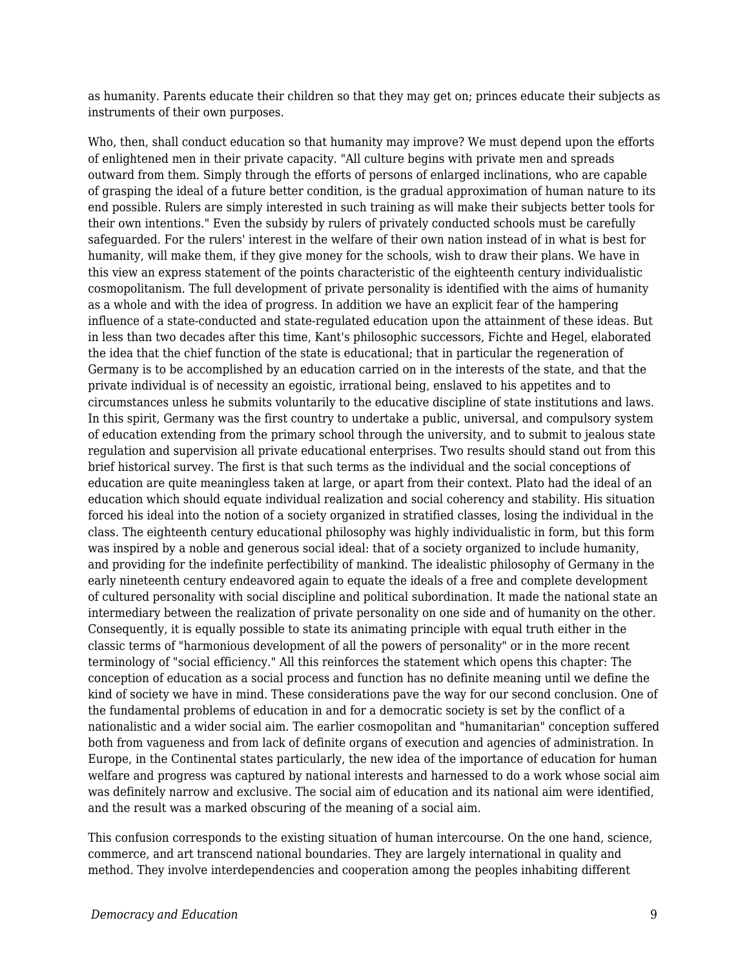as humanity. Parents educate their children so that they may get on; princes educate their subjects as instruments of their own purposes.

Who, then, shall conduct education so that humanity may improve? We must depend upon the efforts of enlightened men in their private capacity. "All culture begins with private men and spreads outward from them. Simply through the efforts of persons of enlarged inclinations, who are capable of grasping the ideal of a future better condition, is the gradual approximation of human nature to its end possible. Rulers are simply interested in such training as will make their subjects better tools for their own intentions." Even the subsidy by rulers of privately conducted schools must be carefully safeguarded. For the rulers' interest in the welfare of their own nation instead of in what is best for humanity, will make them, if they give money for the schools, wish to draw their plans. We have in this view an express statement of the points characteristic of the eighteenth century individualistic cosmopolitanism. The full development of private personality is identified with the aims of humanity as a whole and with the idea of progress. In addition we have an explicit fear of the hampering influence of a state-conducted and state-regulated education upon the attainment of these ideas. But in less than two decades after this time, Kant's philosophic successors, Fichte and Hegel, elaborated the idea that the chief function of the state is educational; that in particular the regeneration of Germany is to be accomplished by an education carried on in the interests of the state, and that the private individual is of necessity an egoistic, irrational being, enslaved to his appetites and to circumstances unless he submits voluntarily to the educative discipline of state institutions and laws. In this spirit, Germany was the first country to undertake a public, universal, and compulsory system of education extending from the primary school through the university, and to submit to jealous state regulation and supervision all private educational enterprises. Two results should stand out from this brief historical survey. The first is that such terms as the individual and the social conceptions of education are quite meaningless taken at large, or apart from their context. Plato had the ideal of an education which should equate individual realization and social coherency and stability. His situation forced his ideal into the notion of a society organized in stratified classes, losing the individual in the class. The eighteenth century educational philosophy was highly individualistic in form, but this form was inspired by a noble and generous social ideal: that of a society organized to include humanity, and providing for the indefinite perfectibility of mankind. The idealistic philosophy of Germany in the early nineteenth century endeavored again to equate the ideals of a free and complete development of cultured personality with social discipline and political subordination. It made the national state an intermediary between the realization of private personality on one side and of humanity on the other. Consequently, it is equally possible to state its animating principle with equal truth either in the classic terms of "harmonious development of all the powers of personality" or in the more recent terminology of "social efficiency." All this reinforces the statement which opens this chapter: The conception of education as a social process and function has no definite meaning until we define the kind of society we have in mind. These considerations pave the way for our second conclusion. One of the fundamental problems of education in and for a democratic society is set by the conflict of a nationalistic and a wider social aim. The earlier cosmopolitan and "humanitarian" conception suffered both from vagueness and from lack of definite organs of execution and agencies of administration. In Europe, in the Continental states particularly, the new idea of the importance of education for human welfare and progress was captured by national interests and harnessed to do a work whose social aim was definitely narrow and exclusive. The social aim of education and its national aim were identified, and the result was a marked obscuring of the meaning of a social aim.

This confusion corresponds to the existing situation of human intercourse. On the one hand, science, commerce, and art transcend national boundaries. They are largely international in quality and method. They involve interdependencies and cooperation among the peoples inhabiting different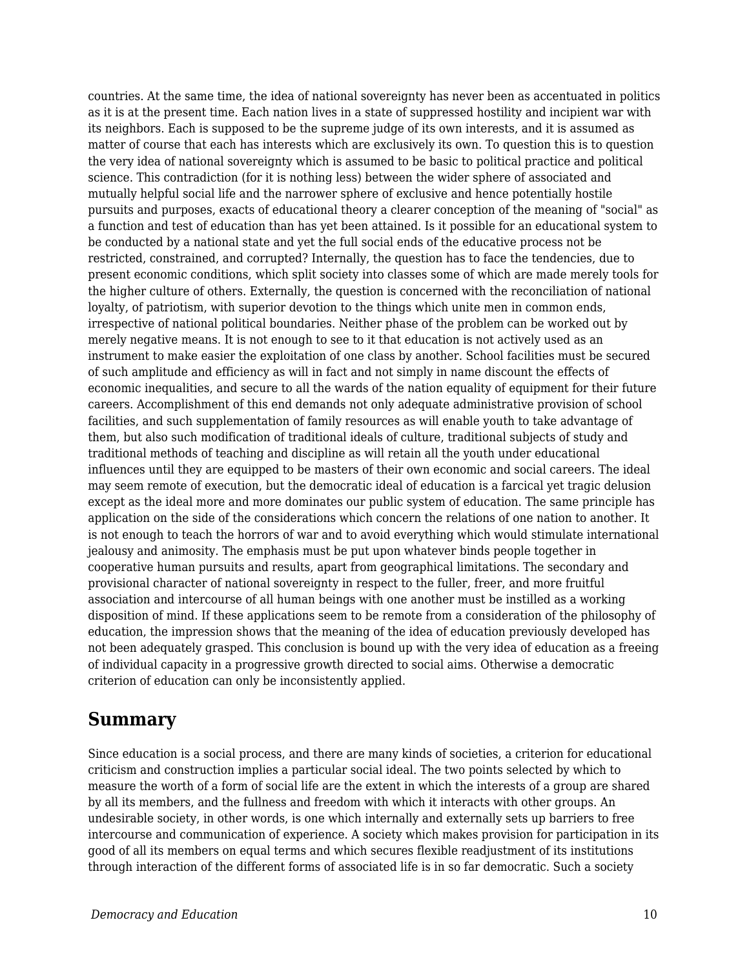countries. At the same time, the idea of national sovereignty has never been as accentuated in politics as it is at the present time. Each nation lives in a state of suppressed hostility and incipient war with its neighbors. Each is supposed to be the supreme judge of its own interests, and it is assumed as matter of course that each has interests which are exclusively its own. To question this is to question the very idea of national sovereignty which is assumed to be basic to political practice and political science. This contradiction (for it is nothing less) between the wider sphere of associated and mutually helpful social life and the narrower sphere of exclusive and hence potentially hostile pursuits and purposes, exacts of educational theory a clearer conception of the meaning of "social" as a function and test of education than has yet been attained. Is it possible for an educational system to be conducted by a national state and yet the full social ends of the educative process not be restricted, constrained, and corrupted? Internally, the question has to face the tendencies, due to present economic conditions, which split society into classes some of which are made merely tools for the higher culture of others. Externally, the question is concerned with the reconciliation of national loyalty, of patriotism, with superior devotion to the things which unite men in common ends, irrespective of national political boundaries. Neither phase of the problem can be worked out by merely negative means. It is not enough to see to it that education is not actively used as an instrument to make easier the exploitation of one class by another. School facilities must be secured of such amplitude and efficiency as will in fact and not simply in name discount the effects of economic inequalities, and secure to all the wards of the nation equality of equipment for their future careers. Accomplishment of this end demands not only adequate administrative provision of school facilities, and such supplementation of family resources as will enable youth to take advantage of them, but also such modification of traditional ideals of culture, traditional subjects of study and traditional methods of teaching and discipline as will retain all the youth under educational influences until they are equipped to be masters of their own economic and social careers. The ideal may seem remote of execution, but the democratic ideal of education is a farcical yet tragic delusion except as the ideal more and more dominates our public system of education. The same principle has application on the side of the considerations which concern the relations of one nation to another. It is not enough to teach the horrors of war and to avoid everything which would stimulate international jealousy and animosity. The emphasis must be put upon whatever binds people together in cooperative human pursuits and results, apart from geographical limitations. The secondary and provisional character of national sovereignty in respect to the fuller, freer, and more fruitful association and intercourse of all human beings with one another must be instilled as a working disposition of mind. If these applications seem to be remote from a consideration of the philosophy of education, the impression shows that the meaning of the idea of education previously developed has not been adequately grasped. This conclusion is bound up with the very idea of education as a freeing of individual capacity in a progressive growth directed to social aims. Otherwise a democratic criterion of education can only be inconsistently applied.

#### **Summary**

Since education is a social process, and there are many kinds of societies, a criterion for educational criticism and construction implies a particular social ideal. The two points selected by which to measure the worth of a form of social life are the extent in which the interests of a group are shared by all its members, and the fullness and freedom with which it interacts with other groups. An undesirable society, in other words, is one which internally and externally sets up barriers to free intercourse and communication of experience. A society which makes provision for participation in its good of all its members on equal terms and which secures flexible readjustment of its institutions through interaction of the different forms of associated life is in so far democratic. Such a society